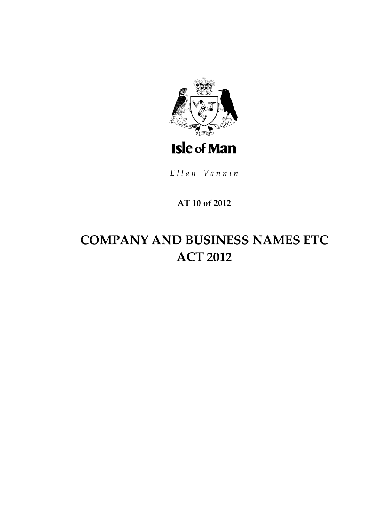

Ellan Vannin

# AT 10 of 2012

# **COMPANY AND BUSINESS NAMES ETC ACT 2012**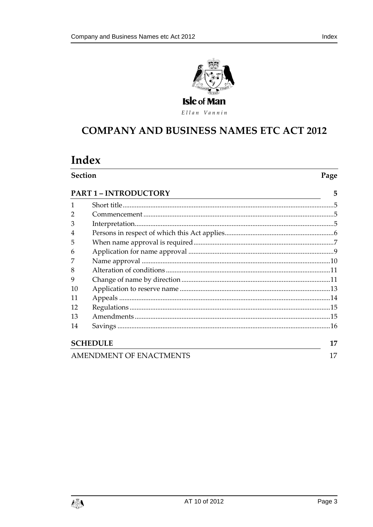

Ellan Vannin

# **COMPANY AND BUSINESS NAMES ETC ACT 2012**

# Index

| <b>Section</b><br><b>PART 1 - INTRODUCTORY</b><br><u> 1989 - Johann Stoff, amerikansk politiker (* 1908)</u> |  | Page |
|--------------------------------------------------------------------------------------------------------------|--|------|
|                                                                                                              |  | 5    |
| 1                                                                                                            |  |      |
| $\overline{2}$                                                                                               |  |      |
| 3                                                                                                            |  |      |
| 4                                                                                                            |  |      |
| 5                                                                                                            |  |      |
| 6                                                                                                            |  |      |
| 7                                                                                                            |  |      |
| 8                                                                                                            |  |      |
| 9                                                                                                            |  |      |
| 10                                                                                                           |  |      |
| 11                                                                                                           |  |      |
| 12                                                                                                           |  |      |
| 13                                                                                                           |  |      |
| 14                                                                                                           |  |      |
| <b>SCHEDULE</b>                                                                                              |  | 17   |
| <b>AMENDMENT OF ENACTMENTS</b>                                                                               |  | 17   |

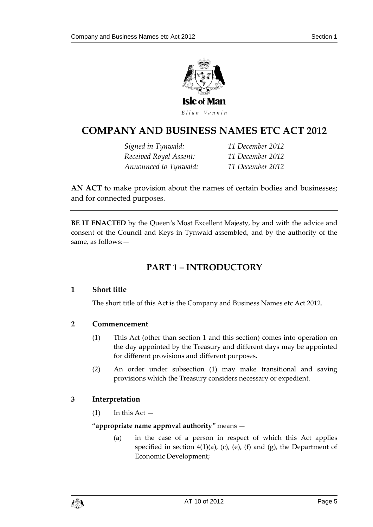

# **COMPANY AND BUSINESS NAMES ETC ACT 2012**

*Signed in Tynwald: 11 December 2012 Received Royal Assent: 11 December 2012 Announced to Tynwald: 11 December 2012*

**AN ACT** to make provision about the names of certain bodies and businesses; and for connected purposes.

<span id="page-4-0"></span>**BE IT ENACTED** by the Queen's Most Excellent Majesty, by and with the advice and consent of the Council and Keys in Tynwald assembled, and by the authority of the same, as follows:—

# **PART 1 – INTRODUCTORY**

# <span id="page-4-1"></span>**1 Short title**

The short title of this Act is the Company and Business Names etc Act 2012.

# <span id="page-4-2"></span>**2 Commencement**

- (1) This Act (other than section [1](#page-4-1) and this section) comes into operation on the day appointed by the Treasury and different days may be appointed for different provisions and different purposes.
- (2) An order under subsection (1) may make transitional and saving provisions which the Treasury considers necessary or expedient.

# <span id="page-4-3"></span>**3 Interpretation**

 $(1)$  In this Act  $-$ 

#### "**appropriate name approval authority**" means —

(a) in the case of a person in respect of which this Act applies specified in section [4\(1\)\(](#page-5-1)a), (c), (e), (f) and (g), the Department of Economic Development;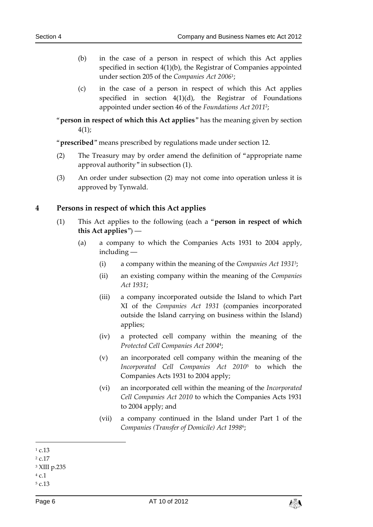- (b) in the case of a person in respect of which this Act applies specified in section [4\(1\)\(](#page-5-1)b), the Registrar of Companies appointed under section 205 of the *Companies Act 2006*<sup>1</sup> ;
- (c) in the case of a person in respect of which this Act applies specified in section [4\(1\)\(](#page-5-1)d), the Registrar of Foundations appointed under section 46 of the *Foundations Act 2011*<sup>2</sup> ;
- "**person in respect of which this Act applies**" has the meaning given by section [4\(1\);](#page-5-1)

"**prescribed**" means prescribed by regulations made under section [12.](#page-14-0)

- (2) The Treasury may by order amend the definition of "appropriate name approval authority" in subsection (1).
- (3) An order under subsection (2) may not come into operation unless it is approved by Tynwald.

### <span id="page-5-1"></span><span id="page-5-0"></span>**4 Persons in respect of which this Act applies**

- (1) This Act applies to the following (each a "**person in respect of which this Act applies**") ―
	- (a) a company to which the Companies Acts 1931 to 2004 apply, including ―
		- (i) a company within the meaning of the *Companies Act 1931*<sup>3</sup> ;
		- (ii) an existing company within the meaning of the *Companies Act 1931*;
		- (iii) a company incorporated outside the Island to which Part XI of the *Companies Act 1931* (companies incorporated outside the Island carrying on business within the Island) applies;
		- (iv) a protected cell company within the meaning of the *Protected Cell Companies Act 2004*<sup>4</sup> ;
		- (v) an incorporated cell company within the meaning of the *Incorporated Cell Companies Act 2010*<sup>5</sup> to which the Companies Acts 1931 to 2004 apply;
		- (vi) an incorporated cell within the meaning of the *Incorporated Cell Companies Act 2010* to which the Companies Acts 1931 to 2004 apply; and
		- (vii) a company continued in the Island under Part 1 of the *Companies (Transfer of Domicile) Act 1998*<sup>6</sup> ;



<sup>-</sup> $1 c 13$ 

<sup>2</sup> c.17

<sup>3</sup> XIII p.235

<sup>4</sup> c.1

<sup>5</sup> c.13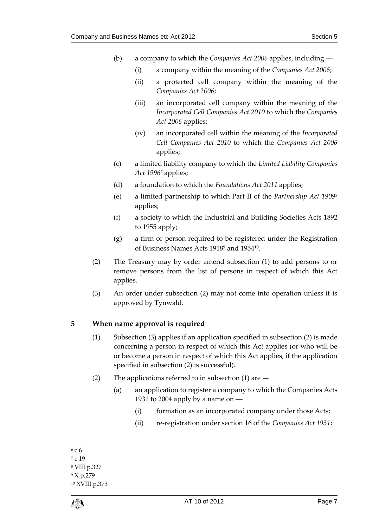- (b) a company to which the *Companies Act 2006* applies, including ―
	- (i) a company within the meaning of the *Companies Act 2006*;
	- (ii) a protected cell company within the meaning of the *Companies Act 2006*;
	- (iii) an incorporated cell company within the meaning of the *Incorporated Cell Companies Act 2010* to which the *Companies Act 2006* applies;
	- (iv) an incorporated cell within the meaning of the *Incorporated Cell Companies Act 2010* to which the *Companies Act 2006* applies;
- (c) a limited liability company to which the *Limited Liability Companies Act 1996*<sup>7</sup> applies;
- (d) a foundation to which the *Foundations Act 2011* applies;
- (e) a limited partnership to which Part II of the *Partnership Act 1909*<sup>8</sup> applies;
- (f) a society to which the Industrial and Building Societies Acts 1892 to 1955 apply;
- (g) a firm or person required to be registered under the Registration of Business Names Acts 1918**<sup>9</sup>** and 1954**<sup>10</sup>** .
- (2) The Treasury may by order amend subsection (1) to add persons to or remove persons from the list of persons in respect of which this Act applies.
- (3) An order under subsection (2) may not come into operation unless it is approved by Tynwald.

# <span id="page-6-1"></span><span id="page-6-0"></span>**5 When name approval is required**

- (1) Subsection (3) applies if an application specified in subsection (2) is made concerning a person in respect of which this Act applies (or who will be or become a person in respect of which this Act applies, if the application specified in subsection (2) is successful).
- (2) The applications referred to in subsection (1) are  $-$ 
	- (a) an application to register a company to which the Companies Acts 1931 to 2004 apply by a name on ―
		- (i) formation as an incorporated company under those Acts;
		- (ii) re-registration under section 16 of the *Companies Act 1931*;
- 1  $6c6$

<sup>10</sup> XVIII p.373



<sup>7</sup> c.19

<sup>8</sup> VIII p.327

<sup>9</sup> X p.279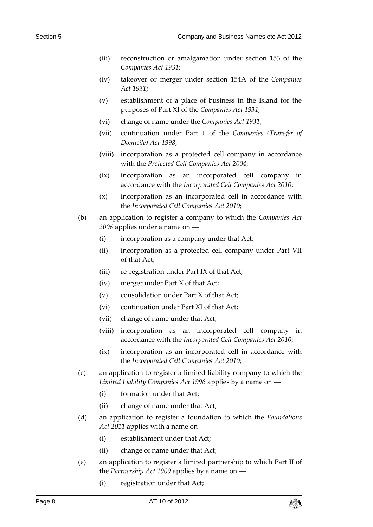- (iii) reconstruction or amalgamation under section 153 of the *Companies Act 1931*;
- (iv) takeover or merger under section 154A of the *Companies Act 1931*;
- (v) establishment of a place of business in the Island for the purposes of Part XI of the *Companies Act 1931*;
- (vi) change of name under the *Companies Act 1931*;
- (vii) continuation under Part 1 of the *Companies (Transfer of Domicile) Act 1998*;
- (viii) incorporation as a protected cell company in accordance with the *Protected Cell Companies Act 2004*;
- (ix) incorporation as an incorporated cell company in accordance with the *Incorporated Cell Companies Act 2010*;
- (x) incorporation as an incorporated cell in accordance with the *Incorporated Cell Companies Act 2010*;
- (b) an application to register a company to which the *Companies Act*  2006 applies under a name on
	- (i) incorporation as a company under that Act;
	- (ii) incorporation as a protected cell company under Part VII of that Act;
	- (iii) re-registration under Part IX of that Act;
	- (iv) merger under Part X of that Act;
	- (v) consolidation under Part X of that Act;
	- (vi) continuation under Part XI of that Act;
	- (vii) change of name under that Act;
	- (viii) incorporation as an incorporated cell company in accordance with the *Incorporated Cell Companies Act 2010*;
	- (ix) incorporation as an incorporated cell in accordance with the *Incorporated Cell Companies Act 2010*;
- (c) an application to register a limited liability company to which the *Limited Liability Companies Act 1996* applies by a name on ―
	- (i) formation under that Act;
	- (ii) change of name under that Act;
- (d) an application to register a foundation to which the *Foundations Act 2011* applies with a name on ―
	- (i) establishment under that Act;
	- (ii) change of name under that Act;
- (e) an application to register a limited partnership to which Part II of the *Partnership Act 1909* applies by a name on ―
	- (i) registration under that Act;

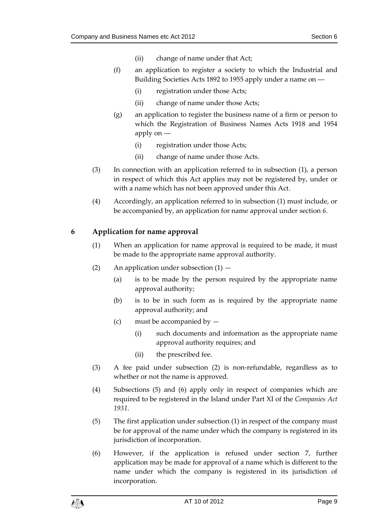- (ii) change of name under that Act;
- (f) an application to register a society to which the Industrial and Building Societies Acts 1892 to 1955 apply under a name on ―
	- (i) registration under those Acts;
	- (ii) change of name under those Acts;
- (g) an application to register the business name of a firm or person to which the Registration of Business Names Acts 1918 and 1954 apply on ―
	- (i) registration under those Acts;
	- (ii) change of name under those Acts.
- (3) In connection with an application referred to in subsection (1), a person in respect of which this Act applies may not be registered by, under or with a name which has not been approved under this Act.
- (4) Accordingly, an application referred to in subsection (1) must include, or be accompanied by, an application for name approval under section *[6](#page-8-0)*.

# <span id="page-8-0"></span>**6 Application for name approval**

- (1) When an application for name approval is required to be made, it must be made to the appropriate name approval authority.
- (2) An application under subsection  $(1)$ 
	- (a) is to be made by the person required by the appropriate name approval authority;
	- (b) is to be in such form as is required by the appropriate name approval authority; and
	- (c) must be accompanied by  $-$ 
		- (i) such documents and information as the appropriate name approval authority requires; and
		- (ii) the prescribed fee.
- (3) A fee paid under subsection (2) is non-refundable, regardless as to whether or not the name is approved.
- (4) Subsections (5) and (6) apply only in respect of companies which are required to be registered in the Island under Part XI of the *Companies Act 1931*.
- (5) The first application under subsection (1) in respect of the company must be for approval of the name under which the company is registered in its jurisdiction of incorporation.
- (6) However, if the application is refused under section [7,](#page-9-0) further application may be made for approval of a name which is different to the name under which the company is registered in its jurisdiction of incorporation.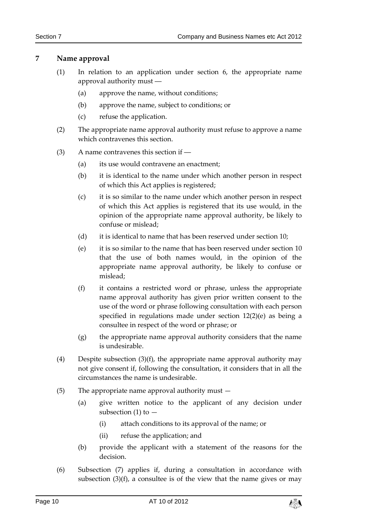# <span id="page-9-2"></span><span id="page-9-0"></span>**7 Name approval**

- (1) In relation to an application under section [6,](#page-8-0) the appropriate name approval authority must ―
	- (a) approve the name, without conditions;
	- (b) approve the name, subject to conditions; or
	- (c) refuse the application.
- (2) The appropriate name approval authority must refuse to approve a name which contravenes this section.
- <span id="page-9-1"></span>(3) A name contravenes this section if ―
	- (a) its use would contravene an enactment;
	- (b) it is identical to the name under which another person in respect of which this Act applies is registered;
	- (c) it is so similar to the name under which another person in respect of which this Act applies is registered that its use would, in the opinion of the appropriate name approval authority, be likely to confuse or mislead;
	- (d) it is identical to name that has been reserved under section [10;](#page-12-0)
	- (e) it is so similar to the name that has been reserved under section [10](#page-12-0) that the use of both names would, in the opinion of the appropriate name approval authority, be likely to confuse or mislead;
	- (f) it contains a restricted word or phrase, unless the appropriate name approval authority has given prior written consent to the use of the word or phrase following consultation with each person specified in regulations made under section [12\(2\)\(](#page-14-2)e) as being a consultee in respect of the word or phrase; or
	- (g) the appropriate name approval authority considers that the name is undesirable.
- (4) Despite subsection (3)(f), the appropriate name approval authority may not give consent if, following the consultation, it considers that in all the circumstances the name is undesirable.
- (5) The appropriate name approval authority must
	- (a) give written notice to the applicant of any decision under subsection (1) to  $-$ 
		- (i) attach conditions to its approval of the name; or
		- (ii) refuse the application; and
	- (b) provide the applicant with a statement of the reasons for the decision.
- (6) Subsection (7) applies if, during a consultation in accordance with subsection  $(3)(f)$ , a consultee is of the view that the name gives or may

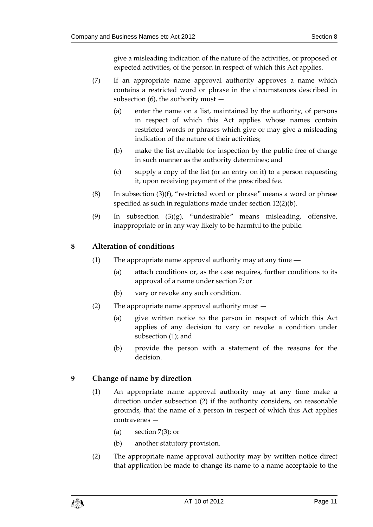give a misleading indication of the nature of the activities, or proposed or expected activities, of the person in respect of which this Act applies.

- (7) If an appropriate name approval authority approves a name which contains a restricted word or phrase in the circumstances described in subsection  $(6)$ , the authority must  $-$ 
	- (a) enter the name on a list, maintained by the authority, of persons in respect of which this Act applies whose names contain restricted words or phrases which give or may give a misleading indication of the nature of their activities;
	- (b) make the list available for inspection by the public free of charge in such manner as the authority determines; and
	- (c) supply a copy of the list (or an entry on it) to a person requesting it, upon receiving payment of the prescribed fee.
- <span id="page-10-2"></span>(8) In subsection  $(3)(f)$ , "restricted word or phrase" means a word or phrase specified as such in regulations made under sectio[n 12\(2\)\(](#page-14-2)b).
- (9) In subsection (3)(g), "undesirable" means misleading, offensive, inappropriate or in any way likely to be harmful to the public.

# <span id="page-10-3"></span><span id="page-10-0"></span>**8 Alteration of conditions**

- (1) The appropriate name approval authority may at any time ―
	- (a) attach conditions or, as the case requires, further conditions to its approval of a name under section [7;](#page-9-0) or
	- (b) vary or revoke any such condition.
- (2) The appropriate name approval authority must
	- (a) give written notice to the person in respect of which this Act applies of any decision to vary or revoke a condition under subsection (1); and
	- (b) provide the person with a statement of the reasons for the decision.

# <span id="page-10-1"></span>**9 Change of name by direction**

- (1) An appropriate name approval authority may at any time make a direction under subsection (2) if the authority considers, on reasonable grounds, that the name of a person in respect of which this Act applies contravenes —
	- (a) section  $7(3)$ ; or
	- (b) another statutory provision.
- <span id="page-10-4"></span>(2) The appropriate name approval authority may by written notice direct that application be made to change its name to a name acceptable to the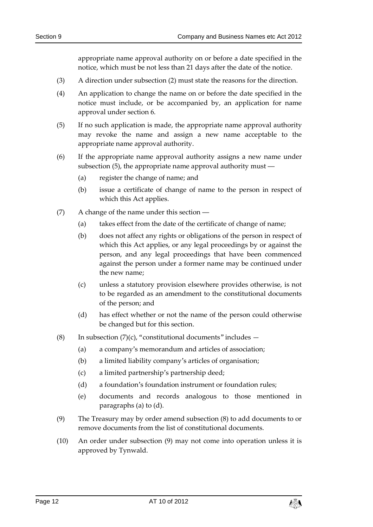appropriate name approval authority on or before a date specified in the notice, which must be not less than 21 days after the date of the notice.

- (3) A direction under subsection (2) must state the reasons for the direction.
- (4) An application to change the name on or before the date specified in the notice must include, or be accompanied by, an application for name approval under section [6.](#page-8-0)
- <span id="page-11-0"></span>(5) If no such application is made, the appropriate name approval authority may revoke the name and assign a new name acceptable to the appropriate name approval authority.
- (6) If the appropriate name approval authority assigns a new name under subsection (5), the appropriate name approval authority must ―
	- (a) register the change of name; and
	- (b) issue a certificate of change of name to the person in respect of which this Act applies.
- (7) A change of the name under this section ―
	- (a) takes effect from the date of the certificate of change of name;
	- (b) does not affect any rights or obligations of the person in respect of which this Act applies, or any legal proceedings by or against the person, and any legal proceedings that have been commenced against the person under a former name may be continued under the new name;
	- (c) unless a statutory provision elsewhere provides otherwise, is not to be regarded as an amendment to the constitutional documents of the person; and
	- (d) has effect whether or not the name of the person could otherwise be changed but for this section.
- (8) In subsection  $(7)(c)$ , "constitutional documents" includes  $-$ 
	- (a) a company's memorandum and articles of association;
	- (b) a limited liability company's articles of organisation;
	- (c) a limited partnership's partnership deed;
	- (d) a foundation's foundation instrument or foundation rules;
	- (e) documents and records analogous to those mentioned in paragraphs (a) to (d).
- (9) The Treasury may by order amend subsection (8) to add documents to or remove documents from the list of constitutional documents.
- (10) An order under subsection (9) may not come into operation unless it is approved by Tynwald.

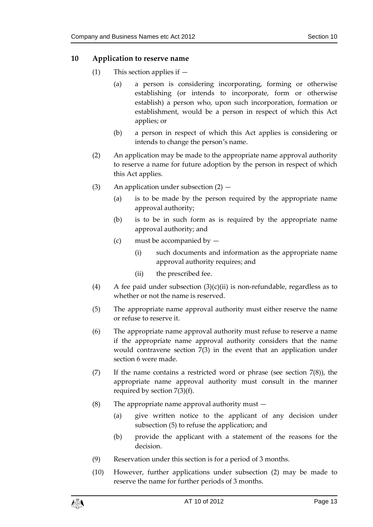### <span id="page-12-0"></span>**10 Application to reserve name**

- (1) This section applies if
	- (a) a person is considering incorporating, forming or otherwise establishing (or intends to incorporate, form or otherwise establish) a person who, upon such incorporation, formation or establishment, would be a person in respect of which this Act applies; or
	- (b) a person in respect of which this Act applies is considering or intends to change the person's name.
- (2) An application may be made to the appropriate name approval authority to reserve a name for future adoption by the person in respect of which this Act applies.
- (3) An application under subsection  $(2)$ 
	- (a) is to be made by the person required by the appropriate name approval authority;
	- (b) is to be in such form as is required by the appropriate name approval authority; and
	- (c) must be accompanied by
		- (i) such documents and information as the appropriate name approval authority requires; and
		- (ii) the prescribed fee.
- (4) A fee paid under subsection  $(3)(c)(ii)$  is non-refundable, regardless as to whether or not the name is reserved.
- <span id="page-12-1"></span>(5) The appropriate name approval authority must either reserve the name or refuse to reserve it.
- (6) The appropriate name approval authority must refuse to reserve a name if the appropriate name approval authority considers that the name would contravene section [7\(3\)](#page-9-1) in the event that an application under section [6](#page-8-0) were made.
- (7) If the name contains a restricted word or phrase (see section  $7(8)$ ), the appropriate name approval authority must consult in the manner required by section [7\(3\)\(](#page-9-1)f).
- (8) The appropriate name approval authority must
	- (a) give written notice to the applicant of any decision under subsection (5) to refuse the application; and
	- (b) provide the applicant with a statement of the reasons for the decision.
- (9) Reservation under this section is for a period of 3 months.
- (10) However, further applications under subsection (2) may be made to reserve the name for further periods of 3 months.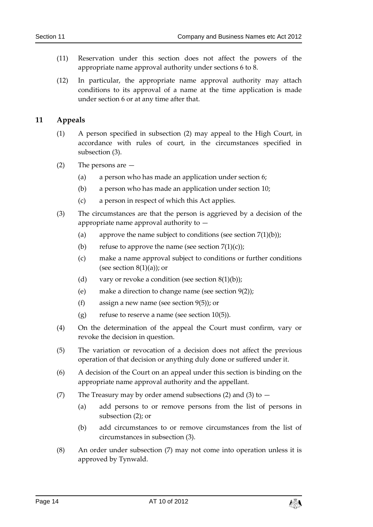- (11) Reservation under this section does not affect the powers of the appropriate name approval authority under sections [6](#page-8-0) t[o 8.](#page-10-0)
- (12) In particular, the appropriate name approval authority may attach conditions to its approval of a name at the time application is made under section [6](#page-8-0) or at any time after that.

# <span id="page-13-0"></span>**11 Appeals**

- (1) A person specified in subsection (2) may appeal to the High Court, in accordance with rules of court, in the circumstances specified in subsection (3).
- (2) The persons are
	- (a) a person who has made an application under section [6;](#page-8-0)
	- (b) a person who has made an application under section [10;](#page-12-0)
	- (c) a person in respect of which this Act applies.
- (3) The circumstances are that the person is aggrieved by a decision of the appropriate name approval authority to —
	- (a) approve the name subject to conditions (see section  $7(1)(b)$ );
	- (b) refuse to approve the name (see section  $7(1)(c)$ );
	- (c) make a name approval subject to conditions or further conditions (see section  $8(1)(a)$ ); or
	- (d) vary or revoke a condition (see section  $8(1)(b)$ );
	- (e) make a direction to change name (see section [9\(2\)\)](#page-10-4);
	- (f) assign a new name (see section [9\(5\)\)](#page-11-0); or
	- (g) refuse to reserve a name (see section  $10(5)$ ).
- (4) On the determination of the appeal the Court must confirm, vary or revoke the decision in question.
- (5) The variation or revocation of a decision does not affect the previous operation of that decision or anything duly done or suffered under it.
- (6) A decision of the Court on an appeal under this section is binding on the appropriate name approval authority and the appellant.
- (7) The Treasury may by order amend subsections (2) and (3) to  $-$ 
	- (a) add persons to or remove persons from the list of persons in subsection (2); or
	- (b) add circumstances to or remove circumstances from the list of circumstances in subsection (3).
- (8) An order under subsection (7) may not come into operation unless it is approved by Tynwald.

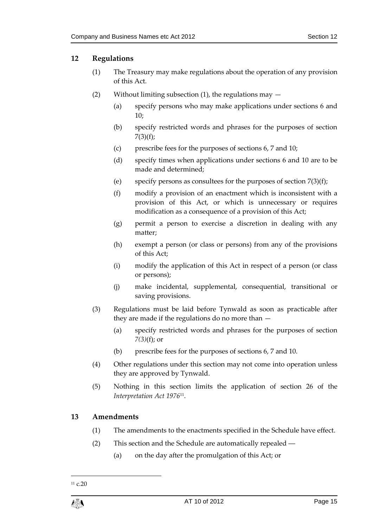# <span id="page-14-0"></span>**12 Regulations**

- (1) The Treasury may make regulations about the operation of any provision of this Act.
- <span id="page-14-2"></span>(2) Without limiting subsection (1), the regulations may  $-$ 
	- (a) specify persons who may make applications under sections [6](#page-8-0) and [10;](#page-12-0)
	- (b) specify restricted words and phrases for the purposes of section  $7(3)(f)$  $7(3)(f)$ ;
	- (c) prescribe fees for the purposes of sections [6,](#page-8-0) 7 and [10;](#page-12-0)
	- (d) specify times when applications under sections [6](#page-8-0) and [10](#page-12-0) are to be made and determined;
	- (e) specify persons as consultees for the purposes of section  $7(3)(f)$ ;
	- (f) modify a provision of an enactment which is inconsistent with a provision of this Act, or which is unnecessary or requires modification as a consequence of a provision of this Act;
	- (g) permit a person to exercise a discretion in dealing with any matter;
	- (h) exempt a person (or class or persons) from any of the provisions of this Act;
	- (i) modify the application of this Act in respect of a person (or class or persons);
	- (j) make incidental, supplemental, consequential, transitional or saving provisions.
- (3) Regulations must be laid before Tynwald as soon as practicable after they are made if the regulations do no more than —
	- (a) specify restricted words and phrases for the purposes of section *[7\(3\)](#page-9-1)*(f); or
	- (b) prescribe fees for the purposes of section[s 6,](#page-8-0) 7 and [10.](#page-12-0)
- (4) Other regulations under this section may not come into operation unless they are approved by Tynwald.
- (5) Nothing in this section limits the application of section 26 of the *Interpretation Act 1976*<sup>11</sup> .

# <span id="page-14-1"></span>**13 Amendments**

- (1) The amendments to the enactments specified in the Schedule have effect.
- (2) This section and the Schedule are automatically repealed ―
	- (a) on the day after the promulgation of this Act; or

1

 $11$  c.20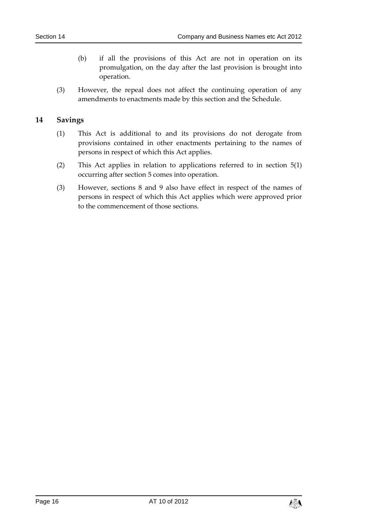- (b) if all the provisions of this Act are not in operation on its promulgation, on the day after the last provision is brought into operation.
- (3) However, the repeal does not affect the continuing operation of any amendments to enactments made by this section and the Schedule.

# <span id="page-15-0"></span>**14 Savings**

- (1) This Act is additional to and its provisions do not derogate from provisions contained in other enactments pertaining to the names of persons in respect of which this Act applies.
- (2) This Act applies in relation to applications referred to in section [5\(1\)](#page-6-1) occurring after section [5](#page-6-0) comes into operation.
- (3) However, sections [8](#page-10-0) and [9](#page-10-1) also have effect in respect of the names of persons in respect of which this Act applies which were approved prior to the commencement of those sections.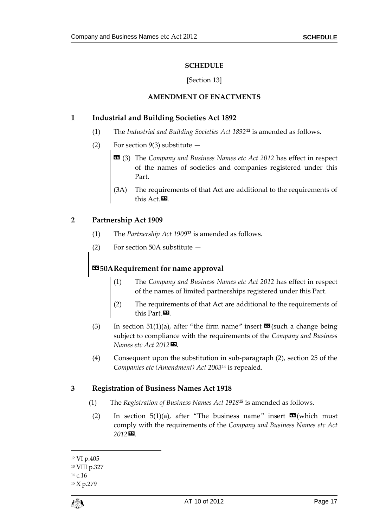#### **SCHEDULE**

#### [Section 13]

### **AMENDMENT OF ENACTMENTS**

### <span id="page-16-1"></span><span id="page-16-0"></span>**1 Industrial and Building Societies Act 1892**

- (1) The *Industrial and Building Societies Act 1892<sup>12</sup> is amended as follows.*
- (2) For section  $9(3)$  substitute  $-$ 
	- « (3) The *Company and Business Names etc Act 2012* has effect in respect of the names of societies and companies registered under this Part.
	- (3A) The requirements of that Act are additional to the requirements of this Act.<sup>D</sup>

# **2 Partnership Act 1909**

- $T$  The *Partnership Act* 1909<sup>13</sup> is amended as follows.
- (2) For section 50A substitute —

# **«50ARequirement for name approval**

- (1) The *Company and Business Names etc Act 2012* has effect in respect of the names of limited partnerships registered under this Part.
- (2) The requirements of that Act are additional to the requirements of this Part.
- (3) In section 51(1)(a), after "the firm name" insert  $\mathbf{m}$  (such a change being subject to compliance with the requirements of the *Company and Business Names etc Act 2012»*.
- (4) Consequent upon the substitution in sub-paragraph (2), section 25 of the *Companies etc (Amendment) Act 2003*<sup>14</sup> is repealed.

# **3 Registration of Business Names Act 1918**

- (1) The *Registration of Business Names Act 1918*<sup>15</sup> is amended as follows.
- (2) In section 5(1)(a), after "The business name" insert  $\mathbf{\mathfrak{m}}$  (which must comply with the requirements of the *Company and Business Names etc Act 2012»*.

 $\overline{a}$ 

<sup>12</sup> VI p.405 <sup>13</sup> VIII p.327 <sup>14</sup> c.16

<sup>15</sup> X p.279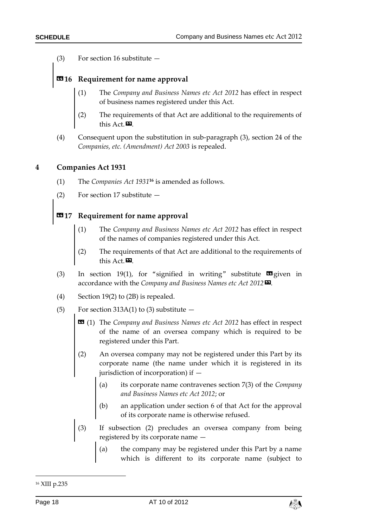(3) For section 16 substitute —

# **«16 Requirement for name approval**

- (1) The *Company and Business Names etc Act 2012* has effect in respect of business names registered under this Act.
- (2) The requirements of that Act are additional to the requirements of this Act. $\mathbf{E}$ .
- (4) Consequent upon the substitution in sub-paragraph (3), section 24 of the *Companies, etc. (Amendment) Act 2003* is repealed.

#### **4 Companies Act 1931**

- (1) The *Companies Act* 1931<sup>16</sup> is amended as follows.
- (2) For section 17 substitute —

# **«17 Requirement for name approval**

- (1) The *Company and Business Names etc Act 2012* has effect in respect of the names of companies registered under this Act.
- (2) The requirements of that Act are additional to the requirements of this Act.
- (3) In section 19(1), for "signified in writing" substitute  $\blacksquare$  given in accordance with the *Company and Business Names etc Act 2012»*.
- (4) Section 19(2) to (2B) is repealed.
- (5) For section 313A(1) to (3) substitute  $-$ 
	- « (1) The *Company and Business Names etc Act 2012* has effect in respect of the name of an oversea company which is required to be registered under this Part.
	- (2) An oversea company may not be registered under this Part by its corporate name (the name under which it is registered in its jurisdiction of incorporation) if —
		- (a) its corporate name contravenes section 7(3) of the *Company and Business Names etc Act 2012*; or
		- (b) an application under section 6 of that Act for the approval of its corporate name is otherwise refused.
	- (3) If subsection (2) precludes an oversea company from being registered by its corporate name —
		- (a) the company may be registered under this Part by a name which is different to its corporate name (subject to

-



<sup>16</sup> XIII p.235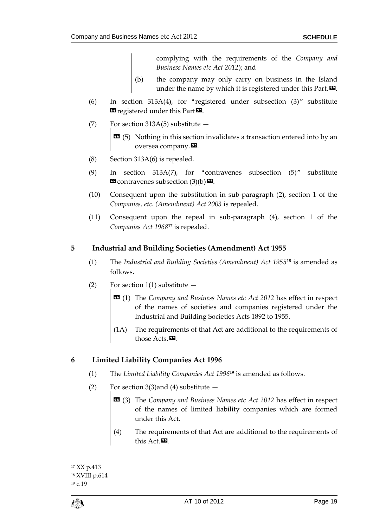complying with the requirements of the *Company and Business Names etc Act 2012*); and

- (b) the company may only carry on business in the Island under the name by which it is registered under this Part. $\boldsymbol{\mathsf{\Xi}}$ .
- (6) In section 313A(4), for "registered under subsection (3)" substitute **E** registered under this Part<sup>D</sup>.
- (7) For section 313A(5) substitute  $-$ 
	- $\bullet$  (5) Nothing in this section invalidates a transaction entered into by an oversea company.<sup>20</sup>.
- (8) Section 313A(6) is repealed.
- (9) In section 313A(7), for "contravenes subsection (5)" substitute  $\mathbf{\Omega}$  contravenes subsection (3)(b) $\mathbf{\Omega}$ .
- (10) Consequent upon the substitution in sub-paragraph (2), section 1 of the *Companies, etc. (Amendment) Act 2003* is repealed.
- (11) Consequent upon the repeal in sub-paragraph (4), section 1 of the *Companies Act 1968***<sup>17</sup>** is repealed.

# **5 Industrial and Building Societies (Amendment) Act 1955**

- (1) The *Industrial and Building Societies (Amendment) Act 1955<sup>18</sup> is amended as* follows.
- (2) For section 1(1) substitute  $-$ 
	- « (1) The *Company and Business Names etc Act 2012* has effect in respect of the names of societies and companies registered under the Industrial and Building Societies Acts 1892 to 1955.
	- (1A) The requirements of that Act are additional to the requirements of those Acts.<sup>92</sup>.

# **6 Limited Liability Companies Act 1996**

- (1) The *Limited Liability Companies Act* 1996<sup>19</sup> is amended as follows.
- (2) For section 3(3) and (4) substitute  $-$ 
	- « (3) The *Company and Business Names etc Act 2012* has effect in respect of the names of limited liability companies which are formed under this Act.
	- (4) The requirements of that Act are additional to the requirements of this Act.

<sup>1</sup> <sup>17</sup> XX p.413 <sup>18</sup> XVIII p.614 <sup>19</sup> c.19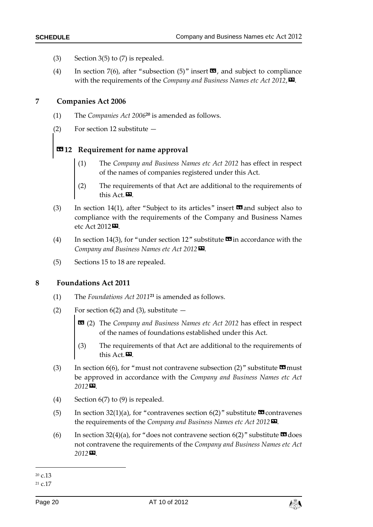- (3) Section 3(5) to  $(7)$  is repealed.
- (4) In section 7(6), after "subsection  $(5)$ " insert  $\mathbb{Z}$ , and subject to compliance with the requirements of the *Company and Business Names etc Act 2012*,».

#### **7 Companies Act 2006**

- (1) The *Companies Act* 2006<sup>20</sup> is amended as follows.
- (2) For section 12 substitute —

# **«12 Requirement for name approval**

- (1) The *Company and Business Names etc Act 2012* has effect in respect of the names of companies registered under this Act.
- (2) The requirements of that Act are additional to the requirements of this Act.<sup>20</sup>.
- (3) In section 14(1), after "Subject to its articles" insert  $\blacksquare$  and subject also to compliance with the requirements of the Company and Business Names etc Act 2012<sup>D</sup>.
- (4) In section 14(3), for "under section 12" substitute  $\mathbf{\mathfrak{B}}$  in accordance with the *Company and Business Names etc Act 2012*».
- (5) Sections 15 to 18 are repealed.

#### **8 Foundations Act 2011**

- $T$  The *Foundations Act 2011*<sup>21</sup> is amended as follows.
- (2) For section  $6(2)$  and (3), substitute  $-$ 
	- « (2) The *Company and Business Names etc Act 2012* has effect in respect of the names of foundations established under this Act.
	- (3) The requirements of that Act are additional to the requirements of this Act.<sup>D.</sup>
- (3) In section 6(6), for "must not contravene subsection (2)" substitute  $\blacksquare$  must be approved in accordance with the *Company and Business Names etc Act 2012»*.
- (4) Section 6(7) to (9) is repealed.
- (5) In section 32(1)(a), for "contravenes section 6(2)" substitute  $\Omega$  contravenes the requirements of the *Company and Business Names etc Act 2012»*.
- (6) In section 32(4)(a), for "does not contravene section  $6(2)$ " substitute  $\blacksquare$  does not contravene the requirements of the *Company and Business Names etc Act 2012»*.



<sup>1</sup> <sup>20</sup> c.13

 $21 c.17$